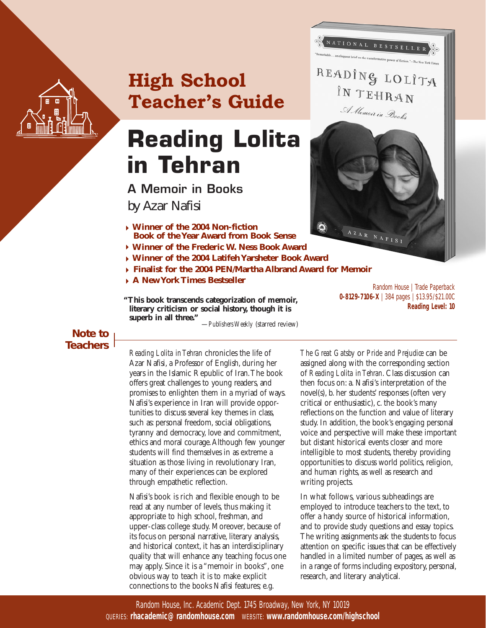

# **High School Teacher's Guide**

# **Reading Lolita in Tehran**

**A Memoir in Books**  *by Azar Nafisi*

- **Winner of the 2004 Non-fiction Book of the Year Award from Book Sense**
- **Winner of the Frederic W. Ness Book Award**
- **Winner of the 2004 Latifeh Yarsheter Book Award**
- **Finalist for the 2004 PEN/Martha Albrand Award for Memoir**
- **A New York Times Bestseller**

**"This book transcends categorization of memoir, literary criticism or social history, though it is superb in all three."** —*Publishers Weekly* (starred review)

Random House | Trade Paperback **0-8129-7106-X** | 384 pages | \$13.95/\$21.00C **Reading Level: 10**

NAFIS

NATIONAL BESTSELLER

READING LOLITA

IN TEHRAN

A Memoir in Books

**Note to Teachers**

*Reading Lolita in Tehran* chronicles the life of Azar Nafisi, a Professor of English, during her years in the Islamic Republic of Iran.The book offers great challenges to young readers, and promises to enlighten them in a myriad of ways. Nafisi's experience in Iran will provide opportunities to discuss several key themes in class, such as: personal freedom, social obligations, tyranny and democracy, love and commitment, ethics and moral courage.Although few younger students will find themselves in as extreme a situation as those living in revolutionary Iran, many of their experiences can be explored through empathetic reflection.

Nafisi's book is rich and flexible enough to be read at any number of levels, thus making it appropriate to high school, freshman, and upper-class college study. Moreover, because of its focus on personal narrative, literary analysis, and historical context, it has an interdisciplinary quality that will enhance any teaching focus one may apply. Since it is a "memoir in books", one obvious way to teach it is to make explicit connections to the books Nafisi features; e.g.

*The Great Gatsby* or *Pride and Prejudice* can be assigned along with the corresponding section of *Reading Lolita in Tehran*. Class discussion can then focus on: a. Nafisi's interpretation of the novel(s), b. her students' responses (often very critical or enthusiastic), c. the book's many reflections on the function and value of literary study. In addition, the book's engaging personal voice and perspective will make these important but distant historical events closer and more intelligible to most students, thereby providing opportunities to discuss world politics, religion, and human rights, as well as research and writing projects.

In what follows, various subheadings are employed to introduce teachers to the text, to offer a handy source of historical information, and to provide study questions and essay topics. The writing assignments ask the students to focus attention on specific issues that can be effectively handled in a limited number of pages, as well as in a range of forms including expository, personal, research, and literary analytical.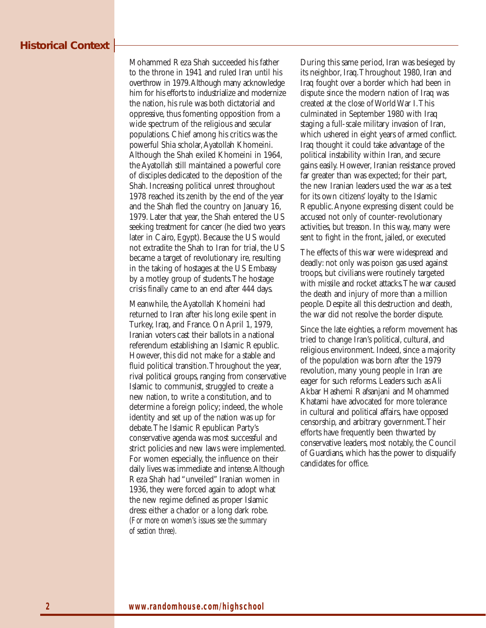# **Historical Context**

Mohammed Reza Shah succeeded his father to the throne in 1941 and ruled Iran until his overthrow in 1979.Although many acknowledge him for his efforts to industrialize and modernize the nation, his rule was both dictatorial and oppressive, thus fomenting opposition from a wide spectrum of the religious and secular populations. Chief among his critics was the powerful Shia scholar,Ayatollah Khomeini. Although the Shah exiled Khomeini in 1964, the Ayatollah still maintained a powerful core of disciples dedicated to the deposition of the Shah. Increasing political unrest throughout 1978 reached its zenith by the end of the year and the Shah fled the country on January 16, 1979. Later that year, the Shah entered the US seeking treatment for cancer (he died two years later in Cairo, Egypt). Because the US would not extradite the Shah to Iran for trial, the US became a target of revolutionary ire, resulting in the taking of hostages at the US Embassy by a motley group of students.The hostage crisis finally came to an end after 444 days.

Meanwhile, the Ayatollah Khomeini had returned to Iran after his long exile spent in Turkey, Iraq, and France. On April 1, 1979, Iranian voters cast their ballots in a national referendum establishing an Islamic Republic. However, this did not make for a stable and fluid political transition.Throughout the year, rival political groups, ranging from conservative Islamic to communist, struggled to create a new nation, to write a constitution, and to determine a foreign policy; indeed, the whole identity and set up of the nation was up for debate.The Islamic Republican Party's conservative agenda was most successful and strict policies and new laws were implemented. For women especially, the influence on their daily lives was immediate and intense.Although Reza Shah had "unveiled" Iranian women in 1936, they were forced again to adopt what the new regime defined as proper Islamic dress: either a chador or a long dark robe. *(For more on women's issues see the summary of section three).*

During this same period, Iran was besieged by its neighbor, Iraq.Throughout 1980, Iran and Iraq fought over a border which had been in dispute since the modern nation of Iraq was created at the close of World War I.This culminated in September 1980 with Iraq staging a full-scale military invasion of Iran, which ushered in eight years of armed conflict. Iraq thought it could take advantage of the political instability within Iran, and secure gains easily. However, Iranian resistance proved far greater than was expected; for their part, the new Iranian leaders used the war as a test for its own citizens' loyalty to the Islamic Republic.Anyone expressing dissent could be accused not only of counter-revolutionary activities, but treason. In this way, many were sent to fight in the front, jailed, or executed

The effects of this war were widespread and deadly: not only was poison gas used against troops, but civilians were routinely targeted with missile and rocket attacks.The war caused the death and injury of more than a million people. Despite all this destruction and death, the war did not resolve the border dispute.

Since the late eighties, a reform movement has tried to change Iran's political, cultural, and religious environment. Indeed, since a majority of the population was born after the 1979 revolution, many young people in Iran are eager for such reforms. Leaders such as Ali Akbar Hashemi Rafsanjani and Mohammed Khatami have advocated for more tolerance in cultural and political affairs, have opposed censorship, and arbitrary government.Their efforts have frequently been thwarted by conservative leaders, most notably, the Council of Guardians, which has the power to disqualify candidates for office.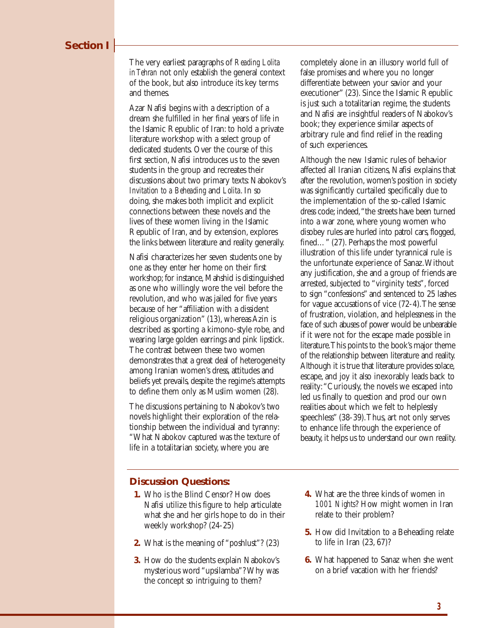#### **Section I**

The very earliest paragraphs of *Reading Lolita in Tehran* not only establish the general context of the book, but also introduce its key terms and themes.

Azar Nafisi begins with a description of a dream she fulfilled in her final years of life in the Islamic Republic of Iran: to hold a private literature workshop with a select group of dedicated students. Over the course of this first section, Nafisi introduces us to the seven students in the group and recreates their discussions about two primary texts: Nabokov's *Invitation to a Beheading* and *Lolita*. In so doing, she makes both implicit and explicit connections between these novels and the lives of these women living in the Islamic Republic of Iran, and by extension, explores the links between literature and reality generally.

Nafisi characterizes her seven students one by one as they enter her home on their first workshop; for instance, Mahshid is distinguished as one who willingly wore the veil before the revolution, and who was jailed for five years because of her "affiliation with a dissident religious organization" (13), whereas Azin is described as sporting a kimono-style robe, and wearing large golden earrings and pink lipstick. The contrast between these two women demonstrates that a great deal of heterogeneity among Iranian women's dress, attitudes and beliefs yet prevails, despite the regime's attempts to define them only as Muslim women (28).

The discussions pertaining to Nabokov's two novels highlight their exploration of the relationship between the individual and tyranny: "What Nabokov captured was the texture of life in a totalitarian society, where you are

completely alone in an illusory world full of false promises and where you no longer differentiate between your savior and your executioner" (23). Since the Islamic Republic is just such a totalitarian regime, the students and Nafisi are insightful readers of Nabokov's book; they experience similar aspects of arbitrary rule and find relief in the reading of such experiences.

Although the new Islamic rules of behavior affected all Iranian citizens, Nafisi explains that after the revolution, women's position in society was significantly curtailed specifically due to the implementation of the so-called Islamic dress code; indeed,"the streets have been turned into a war zone, where young women who disobey rules are hurled into patrol cars, flogged, fined…" (27). Perhaps the most powerful illustration of this life under tyrannical rule is the unfortunate experience of Sanaz.Without any justification, she and a group of friends are arrested, subjected to "virginity tests", forced to sign "confessions" and sentenced to 25 lashes for vague accusations of vice (72-4).The sense of frustration, violation, and helplessness in the face of such abuses of power would be unbearable if it were not for the escape made possible in literature.This points to the book's major theme of the relationship between literature and reality. Although it is true that literature provides solace, escape, and joy it also inexorably leads back to reality:"Curiously, the novels we escaped into led us finally to question and prod our own realities about which we felt to helplessly speechless" (38-39).Thus, art not only serves to enhance life through the experience of beauty, it helps us to understand our own reality.

#### **Discussion Questions:**

- **1.** Who is the Blind Censor? How does Nafisi utilize this figure to help articulate what she and her girls hope to do in their weekly workshop? (24-25)
- **2.** What is the meaning of "poshlust"? (23)
- **3.** How do the students explain Nabokov's mysterious word "upsilamba"? Why was the concept so intriguing to them?
- **4.** What are the three kinds of women in *1001 Nights*? How might women in Iran relate to their problem?
- **5.** How did Invitation to a Beheading relate to life in Iran (23, 67)?
- **6.** What happened to Sanaz when she went on a brief vacation with her friends?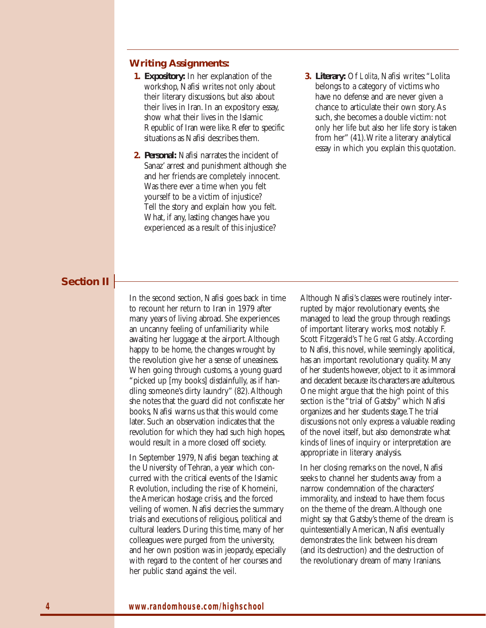#### **Writing Assignments:**

- **1. Expository:** In her explanation of the workshop, Nafisi writes not only about their literary discussions, but also about their lives in Iran. In an expository essay, show what their lives in the Islamic Republic of Iran were like.Refer to specific situations as Nafisi describes them.
- **2. Personal:** Nafisi narrates the incident of Sanaz' arrest and punishment although she and her friends are completely innocent. Was there ever a time when you felt yourself to be a victim of injustice? Tell the story and explain how you felt. What, if any, lasting changes have you experienced as a result of this injustice?
- **3. Literary:** Of *Lolita*, Nafisi writes:"Lolita belongs to a category of victims who have no defense and are never given a chance to articulate their own story.As such, she becomes a double victim: not only her life but also her life story is taken from her" (41).Write a literary analytical essay in which you explain this quotation.

#### **Section II**

In the second section, Nafisi goes back in time to recount her return to Iran in 1979 after many years of living abroad. She experiences an uncanny feeling of unfamiliarity while awaiting her luggage at the airport.Although happy to be home, the changes wrought by the revolution give her a sense of uneasiness. When going through customs, a young guard "picked up [my books] disdainfully, as if handling someone's dirty laundry" (82).Although she notes that the guard did not confiscate her books, Nafisi warns us that this would come later. Such an observation indicates that the revolution for which they had such high hopes, would result in a more closed off society.

In September 1979, Nafisi began teaching at the University of Tehran, a year which concurred with the critical events of the Islamic Revolution, including the rise of Khomeini, the American hostage crisis, and the forced veiling of women. Nafisi decries the summary trials and executions of religious, political and cultural leaders. During this time, many of her colleagues were purged from the university, and her own position was in jeopardy, especially with regard to the content of her courses and her public stand against the veil.

Although Nafisi's classes were routinely interrupted by major revolutionary events, she managed to lead the group through readings of important literary works, most notably F. Scott Fitzgerald's *The Great Gatsby*.According to Nafisi, this novel, while seemingly apolitical, has an important revolutionary quality. Many of her students however, object to it as immoral and decadent because its characters are adulterous. One might argue that the high point of this section is the "trial of Gatsby" which Nafisi organizes and her students stage.The trial discussions not only express a valuable reading of the novel itself, but also demonstrate what kinds of lines of inquiry or interpretation are appropriate in literary analysis.

In her closing remarks on the novel, Nafisi seeks to channel her students away from a narrow condemnation of the characters' immorality, and instead to have them focus on the theme of the dream.Although one might say that Gatsby's theme of the dream is quintessentially American, Nafisi eventually demonstrates the link between his dream (and its destruction) and the destruction of the revolutionary dream of many Iranians.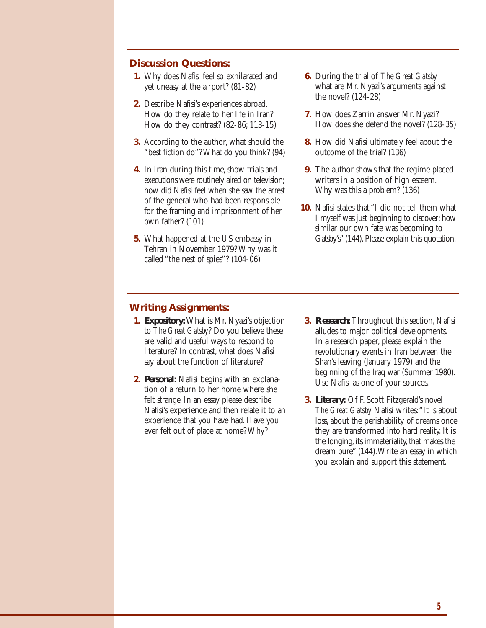#### **Discussion Questions:**

- **1.** Why does Nafisi feel so exhilarated and yet uneasy at the airport? (81-82)
- **2.** Describe Nafisi's experiences abroad. How do they relate to her life in Iran? How do they contrast? (82-86; 113-15)
- **3.** According to the author, what should the "best fiction do"? What do you think? (94)
- **4.** In Iran during this time, show trials and executions were routinely aired on television; how did Nafisi feel when she saw the arrest of the general who had been responsible for the framing and imprisonment of her own father? (101)
- **5.** What happened at the US embassy in Tehran in November 1979? Why was it called "the nest of spies"? (104-06)
- **6.** During the trial of *The Great Gatsby* what are Mr. Nyazi's arguments against the novel? (124-28)
- **7.** How does Zarrin answer Mr. Nyazi? How does she defend the novel? (128-35)
- **8.** How did Nafisi ultimately feel about the outcome of the trial? (136)
- **9.** The author shows that the regime placed writers in a position of high esteem. Why was this a problem? (136)
- **10.** Nafisi states that "I did not tell them what I myself was just beginning to discover: how similar our own fate was becoming to Gatsby's" (144). Please explain this quotation.

#### **Writing Assignments:**

- **1. Expository:**What is Mr. Nyazi's objection to *The Great Gatsby*? Do you believe these are valid and useful ways to respond to literature? In contrast, what does Nafisi say about the function of literature?
- **2. Personal:** Nafisi begins with an explanation of a return to her home where she felt strange. In an essay please describe Nafisi's experience and then relate it to an experience that you have had. Have you ever felt out of place at home? Why?
- **3. Research:**Throughout this section, Nafisi alludes to major political developments. In a research paper, please explain the revolutionary events in Iran between the Shah's leaving (January 1979) and the beginning of the Iraq war (Summer 1980). Use Nafisi as one of your sources.
- **3. Literary:** Of F. Scott Fitzgerald's novel *The Great Gatsby* Nafisi writes:"It is about loss, about the perishability of dreams once they are transformed into hard reality. It is the longing, its immateriality, that makes the dream pure" (144).Write an essay in which you explain and support this statement.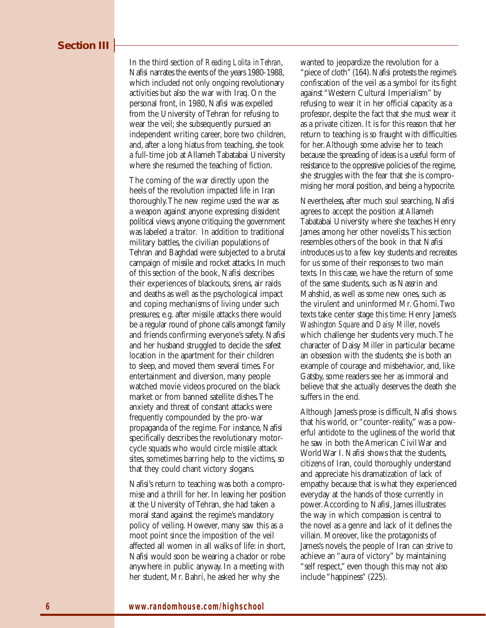#### **Section III**

In the third section of *Reading Lolita in Tehran*, Nafisi narrates the events of the years 1980-1988, which included not only ongoing revolutionary activities but also the war with Iraq. On the personal front, in 1980, Nafisi was expelled from the University of Tehran for refusing to wear the veil; she subsequently pursued an independent writing career, bore two children, and, after a long hiatus from teaching, she took a full-time job at Allameh Tabatabai University where she resumed the teaching of fiction.

The coming of the war directly upon the heels of the revolution impacted life in Iran thoroughly.The new regime used the war as a weapon against anyone expressing dissident political views;anyone critiquing the government was labeled a traitor. In addition to traditional military battles, the civilian populations of Tehran and Baghdad were subjected to a brutal campaign of missile and rocket attacks. In much of this section of the book, Nafisi describes their experiences of blackouts, sirens, air raids and deaths as well as the psychological impact and coping mechanisms of living under such pressures; e.g. after missile attacks there would be a regular round of phone calls amongst family and friends confirming everyone's safety. Nafisi and her husband struggled to decide the safest location in the apartment for their children to sleep, and moved them several times. For entertainment and diversion, many people watched movie videos procured on the black market or from banned satellite dishes.The anxiety and threat of constant attacks were frequently compounded by the pro-war propaganda of the regime. For instance, Nafisi specifically describes the revolutionary motorcycle squads who would circle missile attack sites, sometimes barring help to the victims, so that they could chant victory slogans.

Nafisi's return to teaching was both a compromise and a thrill for her. In leaving her position at the University of Tehran, she had taken a moral stand against the regime's mandatory policy of veiling. However, many saw this as a moot point since the imposition of the veil affected all women in all walks of life: in short, Nafisi would soon be wearing a chador or robe anywhere in public anyway. In a meeting with her student, Mr. Bahri, he asked her why she

wanted to jeopardize the revolution for a "piece of cloth" (164). Nafisi protests the regime's confiscation of the veil as a symbol for its fight against "Western Cultural Imperialism" by refusing to wear it in her official capacity as a professor, despite the fact that she must wear it as a private citizen. It is for this reason that her return to teaching is so fraught with difficulties for her.Although some advise her to teach because the spreading of ideas is a useful form of resistance to the oppressive policies of the regime, she struggles with the fear that she is compromising her moral position, and being a hypocrite.

Nevertheless, after much soul searching, Nafisi agrees to accept the position at Allameh Tabatabai University where she teaches Henry James among her other novelists.This section resembles others of the book in that Nafisi introduces us to a few key students and recreates for us some of their responses to two main texts. In this case, we have the return of some of the same students, such as Nassrin and Mahshid, as well as some new ones, such as the virulent and uninformed Mr. Ghomi.Two texts take center stage this time: Henry James's *Washington Square* and *Daisy Miller*, novels which challenge her students very much.The character of Daisy Miller in particular became an obsession with the students; she is both an example of courage and misbehavior, and, like Gatsby, some readers see her as immoral and believe that she actually deserves the death she suffers in the end.

Although James's prose is difficult, Nafisi shows that his world, or "counter-reality," was a powerful antidote to the ugliness of the world that he saw in both the American Civil War and World War I. Nafisi shows that the students, citizens of Iran, could thoroughly understand and appreciate his dramatization of lack of empathy because that is what they experienced everyday at the hands of those currently in power.According to Nafisi, James illustrates the way in which compassion is central to the novel as a genre and lack of it defines the villain. Moreover, like the protagonists of James's novels, the people of Iran can strive to achieve an "aura of victory" by maintaining "self respect," even though this may not also include "happiness" (225).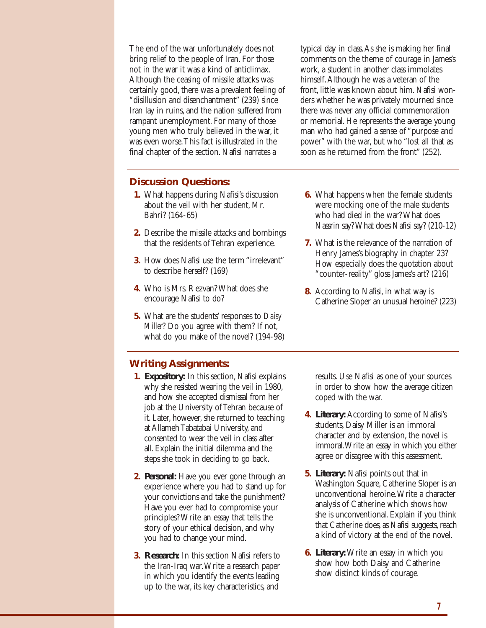The end of the war unfortunately does not bring relief to the people of Iran. For those not in the war it was a kind of anticlimax. Although the ceasing of missile attacks was certainly good, there was a prevalent feeling of "disillusion and disenchantment" (239) since Iran lay in ruins, and the nation suffered from rampant unemployment. For many of those young men who truly believed in the war, it was even worse.This fact is illustrated in the final chapter of the section. Nafisi narrates a

typical day in class.As she is making her final comments on the theme of courage in James's work, a student in another class immolates himself.Although he was a veteran of the front, little was known about him. Nafisi wonders whether he was privately mourned since there was never any official commemoration or memorial. He represents the average young man who had gained a sense of "purpose and power" with the war, but who "lost all that as soon as he returned from the front" (252).

#### **Discussion Questions:**

- **1.** What happens during Nafisi's discussion about the veil with her student, Mr. Bahri? (164-65)
- **2.** Describe the missile attacks and bombings that the residents of Tehran experience.
- **3.** How does Nafisi use the term "irrelevant" to describe herself? (169)
- **4.** Who is Mrs. Rezvan? What does she encourage Nafisi to do?
- **5.** What are the students' responses to *Daisy Miller*? Do you agree with them? If not, what do you make of the novel? (194-98)
- **6.** What happens when the female students were mocking one of the male students who had died in the war? What does Nassrin say? What does Nafisi say? (210-12)
- **7.** What is the relevance of the narration of Henry James's biography in chapter 23? How especially does the quotation about "counter-reality" gloss James's art? (216)
- **8.** According to Nafisi, in what way is Catherine Sloper an unusual heroine? (223)

# **Writing Assignments:**

- **1. Expository:** In this section, Nafisi explains why she resisted wearing the veil in 1980, and how she accepted dismissal from her job at the University of Tehran because of it. Later, however, she returned to teaching at Allameh Tabatabai University, and consented to wear the veil in class after all. Explain the initial dilemma and the steps she took in deciding to go back.
- **2. Personal:** Have you ever gone through an experience where you had to stand up for your convictions and take the punishment? Have you ever had to compromise your principles? Write an essay that tells the story of your ethical decision, and why you had to change your mind.
- **3. Research:** In this section Nafisi refers to the Iran-Iraq war.Write a research paper in which you identify the events leading up to the war, its key characteristics, and

results. Use Nafisi as one of your sources in order to show how the average citizen coped with the war.

- **4. Literary:** According to some of Nafisi's students, Daisy Miller is an immoral character and by extension, the novel is immoral.Write an essay in which you either agree or disagree with this assessment.
- **5. Literary:** Nafisi points out that in Washington Square, Catherine Sloper is an unconventional heroine.Write a character analysis of Catherine which shows how she is unconventional. Explain if you think that Catherine does, as Nafisi suggests, reach a kind of victory at the end of the novel.
- **6. Literary:**Write an essay in which you show how both Daisy and Catherine show distinct kinds of courage.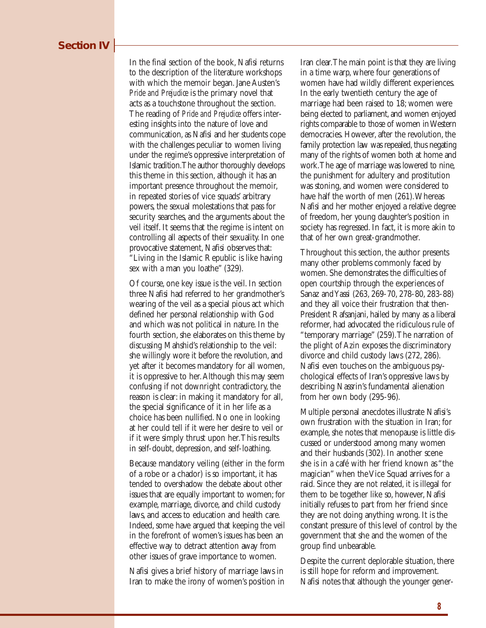In the final section of the book, Nafisi returns to the description of the literature workshops with which the memoir began. Jane Austen's *Pride and Prejudice* is the primary novel that acts as a touchstone throughout the section. The reading of *Pride and Prejudice* offers interesting insights into the nature of love and communication, as Nafisi and her students cope with the challenges peculiar to women living under the regime's oppressive interpretation of Islamic tradition.The author thoroughly develops this theme in this section, although it has an important presence throughout the memoir, in repeated stories of vice squads' arbitrary powers, the sexual molestations that pass for security searches, and the arguments about the veil itself. It seems that the regime is intent on controlling all aspects of their sexuality. In one provocative statement, Nafisi observes that: "Living in the Islamic Republic is like having sex with a man you loathe" (329).

Of course, one key issue is the veil. In section three Nafisi had referred to her grandmother's wearing of the veil as a special pious act which defined her personal relationship with God and which was not political in nature. In the fourth section, she elaborates on this theme by discussing Mahshid's relationship to the veil: she willingly wore it before the revolution, and yet after it becomes mandatory for all women, it is oppressive to her.Although this may seem confusing if not downright contradictory, the reason is clear: in making it mandatory for all, the special significance of it in her life as a choice has been nullified. No one in looking at her could tell if it were her desire to veil or if it were simply thrust upon her.This results in self-doubt, depression, and self-loathing.

Because mandatory veiling (either in the form of a robe or a chador) is so important, it has tended to overshadow the debate about other issues that are equally important to women; for example, marriage, divorce, and child custody laws, and access to education and health care. Indeed, some have argued that keeping the veil in the forefront of women's issues has been an effective way to detract attention away from other issues of grave importance to women.

Nafisi gives a brief history of marriage laws in Iran to make the irony of women's position in Iran clear.The main point is that they are living in a time warp, where four generations of women have had wildly different experiences. In the early twentieth century the age of marriage had been raised to 18; women were being elected to parliament, and women enjoyed rights comparable to those of women in Western democracies. However, after the revolution, the family protection law was repealed, thus negating many of the rights of women both at home and work.The age of marriage was lowered to nine, the punishment for adultery and prostitution was stoning, and women were considered to have half the worth of men (261).Whereas Nafisi and her mother enjoyed a relative degree of freedom, her young daughter's position in society has regressed. In fact, it is more akin to that of her own great-grandmother.

Throughout this section, the author presents many other problems commonly faced by women. She demonstrates the difficulties of open courtship through the experiences of Sanaz and Yassi (263, 269-70, 278-80, 283-88) and they all voice their frustration that then-President Rafsanjani, hailed by many as a liberal reformer, had advocated the ridiculous rule of "temporary marriage" (259).The narration of the plight of Azin exposes the discriminatory divorce and child custody laws (272, 286). Nafisi even touches on the ambiguous psychological effects of Iran's oppressive laws by describing Nassrin's fundamental alienation from her own body (295-96).

Multiple personal anecdotes illustrate Nafisi's own frustration with the situation in Iran; for example, she notes that menopause is little discussed or understood among many women and their husbands (302). In another scene she is in a café with her friend known as "the magician" when the Vice Squad arrives for a raid. Since they are not related, it is illegal for them to be together like so, however, Nafisi initially refuses to part from her friend since they are not doing anything wrong. It is the constant pressure of this level of control by the government that she and the women of the group find unbearable.

Despite the current deplorable situation, there is still hope for reform and improvement. Nafisi notes that although the younger gener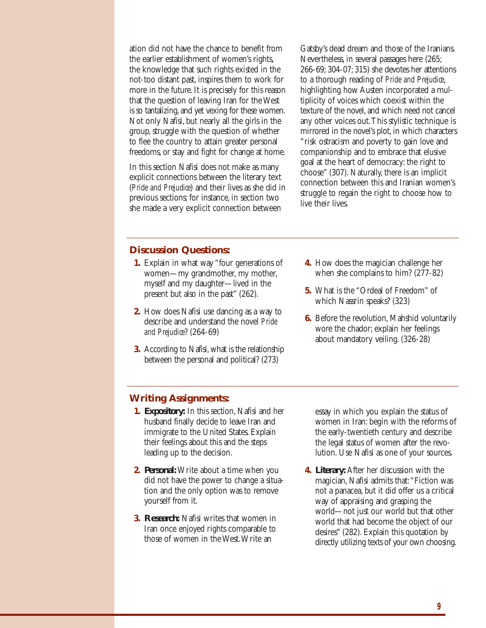ation did not have the chance to benefit from the earlier establishment of women's rights, the knowledge that such rights existed in the not-too distant past, inspires them to work for more in the future. It is precisely for this reason that the question of leaving Iran for the West is so tantalizing, and yet vexing for these women. Not only Nafisi, but nearly all the girls in the group, struggle with the question of whether to flee the country to attain greater personal freedoms, or stay and fight for change at home.

In this section Nafisi does not make as many explicit connections between the literary text (*Pride and Prejudice*) and their lives as she did in previous sections; for instance, in section two she made a very explicit connection between

Gatsby's dead dream and those of the Iranians. Nevertheless, in several passages here (265; 266-69; 304-07; 315) she devotes her attentions to a thorough reading of *Pride and Prejudice*, highlighting how Austen incorporated a multiplicity of voices which coexist within the texture of the novel, and which need not cancel any other voices out.This stylistic technique is mirrored in the novel's plot, in which characters "risk ostracism and poverty to gain love and companionship and to embrace that elusive goal at the heart of democracy: the right to choose" (307). Naturally, there is an implicit connection between this and Iranian women's struggle to regain the right to choose how to live their lives.

#### **Discussion Questions:**

- **1.** Explain in what way "four generations of women—my grandmother, my mother, myself and my daughter—lived in the present but also in the past" (262).
- **2.** How does Nafisi use dancing as a way to describe and understand the novel *Pride and Prejudice*? (264-69)
- **3.** According to Nafisi, what is the relationship between the personal and political? (273)
- **4.** How does the magician challenge her when she complains to him? (277-82)
- **5.** What is the "Ordeal of Freedom" of which Nassrin speaks? (323)
- **6.** Before the revolution, Mahshid voluntarily wore the chador; explain her feelings about mandatory veiling. (326-28)

#### **Writing Assignments:**

- **1. Expository:** In this section, Nafisi and her husband finally decide to leave Iran and immigrate to the United States. Explain their feelings about this and the steps leading up to the decision.
- **2. Personal:**Write about a time when you did not have the power to change a situation and the only option was to remove yourself from it.
- **3. Research:** Nafisi writes that women in Iran once enjoyed rights comparable to those of women in the West.Write an

essay in which you explain the status of women in Iran: begin with the reforms of the early-twentieth century and describe the legal status of women after the revolution. Use Nafisi as one of your sources.

**4. Literary:** After her discussion with the magician, Nafisi admits that:"Fiction was not a panacea, but it did offer us a critical way of appraising and grasping the world—not just our world but that other world that had become the object of our desires" (282). Explain this quotation by directly utilizing texts of your own choosing.